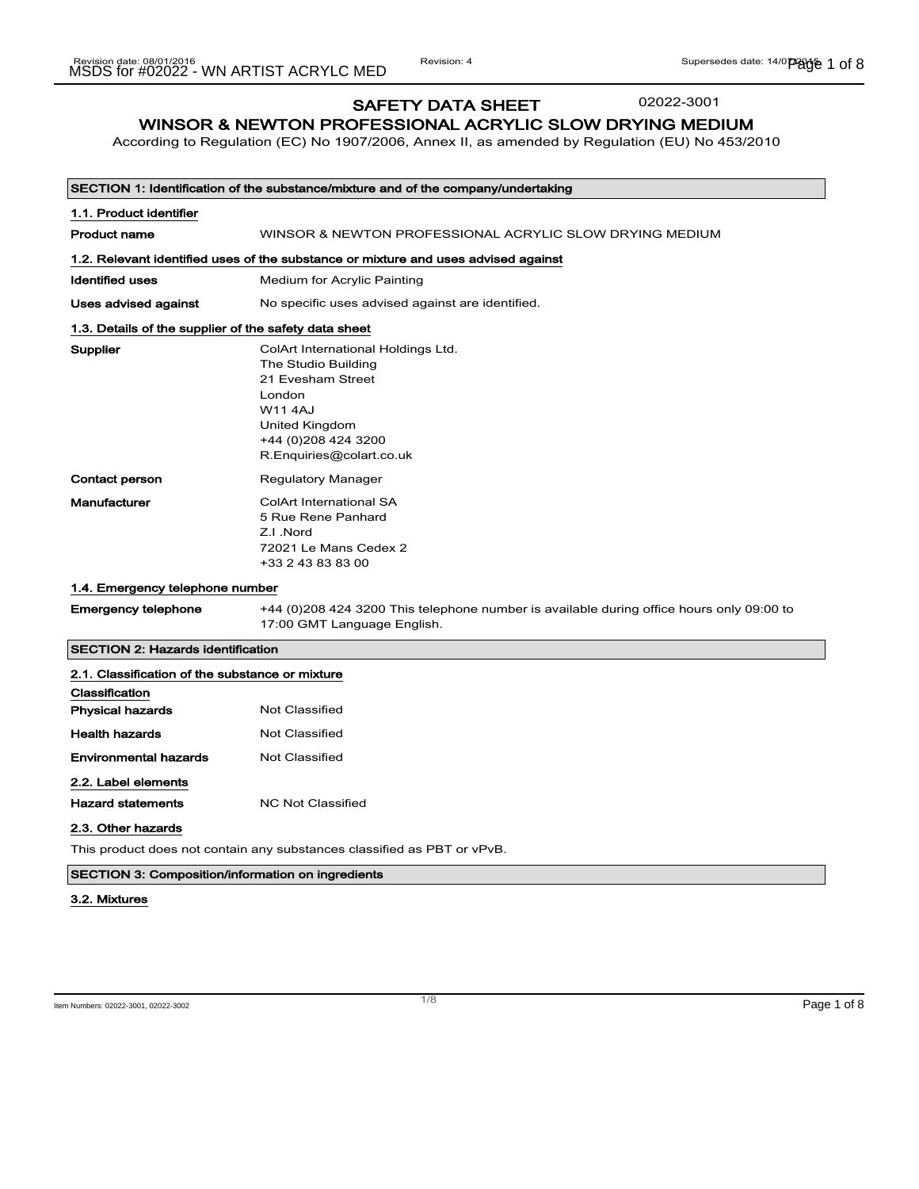#### SAFETY DATA SHEET 02022-3001

WINSOR & NEWTON PROFESSIONAL ACRYLIC SLOW DRYING MEDIUM

According to Regulation (EC) No 1907/2006, Annex II, as amended by Regulation (EU) No 453/2010

|                                                                       | SECTION 1: Identification of the substance/mixture and of the company/undertaking                                                                                               |
|-----------------------------------------------------------------------|---------------------------------------------------------------------------------------------------------------------------------------------------------------------------------|
| 1.1. Product identifier                                               |                                                                                                                                                                                 |
| <b>Product name</b>                                                   | WINSOR & NEWTON PROFESSIONAL ACRYLIC SLOW DRYING MEDIUM                                                                                                                         |
|                                                                       | 1.2. Relevant identified uses of the substance or mixture and uses advised against                                                                                              |
| <b>Identified uses</b>                                                | Medium for Acrylic Painting                                                                                                                                                     |
| Uses advised against                                                  | No specific uses advised against are identified.                                                                                                                                |
| 1.3. Details of the supplier of the safety data sheet                 |                                                                                                                                                                                 |
| Supplier                                                              | ColArt International Holdings Ltd.<br>The Studio Building<br>21 Evesham Street<br>London<br><b>W114AJ</b><br>United Kingdom<br>+44 (0) 208 424 3200<br>R.Enquiries@colart.co.uk |
| Contact person                                                        | <b>Regulatory Manager</b>                                                                                                                                                       |
| Manufacturer                                                          | <b>ColArt International SA</b><br>5 Rue Rene Panhard<br>Z.I.Nord<br>72021 Le Mans Cedex 2<br>+33 2 43 83 83 00                                                                  |
| 1.4. Emergency telephone number                                       |                                                                                                                                                                                 |
| <b>Emergency telephone</b>                                            | +44 (0) 208 424 3200 This telephone number is available during office hours only 09:00 to<br>17:00 GMT Language English.                                                        |
| <b>SECTION 2: Hazards identification</b>                              |                                                                                                                                                                                 |
| 2.1. Classification of the substance or mixture                       |                                                                                                                                                                                 |
| Classification                                                        |                                                                                                                                                                                 |
| <b>Physical hazards</b>                                               | <b>Not Classified</b>                                                                                                                                                           |
| <b>Health hazards</b>                                                 | <b>Not Classified</b>                                                                                                                                                           |
| Environmental hazards                                                 | <b>Not Classified</b>                                                                                                                                                           |
| 2.2. Label elements<br><b>Hazard statements</b><br>2.3. Other hazards | <b>NC Not Classified</b>                                                                                                                                                        |

This product does not contain any substances classified as PBT or vPvB.

### SECTION 3: Composition/information on ingredients

#### 3.2. Mixtures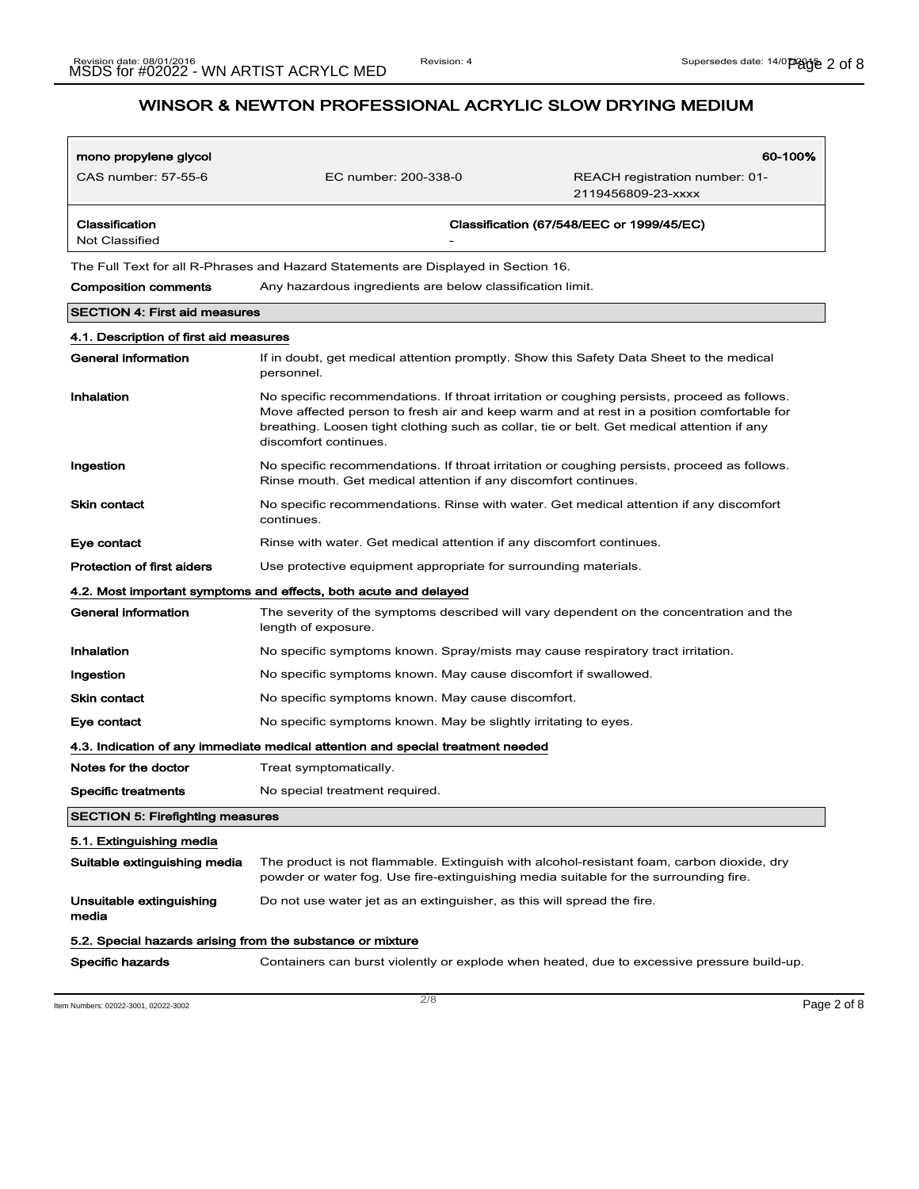| mono propylene glycol                                      |                                                                                                                                                                                                                                                                                                                 | 60-100%                                                                                    |
|------------------------------------------------------------|-----------------------------------------------------------------------------------------------------------------------------------------------------------------------------------------------------------------------------------------------------------------------------------------------------------------|--------------------------------------------------------------------------------------------|
| CAS number: 57-55-6                                        | EC number: 200-338-0                                                                                                                                                                                                                                                                                            | REACH registration number: 01-<br>2119456809-23-xxxx                                       |
| Classification<br>Not Classified                           |                                                                                                                                                                                                                                                                                                                 | Classification (67/548/EEC or 1999/45/EC)                                                  |
|                                                            | The Full Text for all R-Phrases and Hazard Statements are Displayed in Section 16.                                                                                                                                                                                                                              |                                                                                            |
| <b>Composition comments</b>                                | Any hazardous ingredients are below classification limit.                                                                                                                                                                                                                                                       |                                                                                            |
| <b>SECTION 4: First aid measures</b>                       |                                                                                                                                                                                                                                                                                                                 |                                                                                            |
| 4.1. Description of first aid measures                     |                                                                                                                                                                                                                                                                                                                 |                                                                                            |
| General information                                        | If in doubt, get medical attention promptly. Show this Safety Data Sheet to the medical<br>personnel.                                                                                                                                                                                                           |                                                                                            |
| Inhalation                                                 | No specific recommendations. If throat irritation or coughing persists, proceed as follows.<br>Move affected person to fresh air and keep warm and at rest in a position comfortable for<br>breathing. Loosen tight clothing such as collar, tie or belt. Get medical attention if any<br>discomfort continues. |                                                                                            |
| Ingestion                                                  | No specific recommendations. If throat irritation or coughing persists, proceed as follows.<br>Rinse mouth. Get medical attention if any discomfort continues.                                                                                                                                                  |                                                                                            |
| Skin contact                                               | No specific recommendations. Rinse with water. Get medical attention if any discomfort<br>continues.                                                                                                                                                                                                            |                                                                                            |
| Eye contact                                                | Rinse with water. Get medical attention if any discomfort continues.                                                                                                                                                                                                                                            |                                                                                            |
| <b>Protection of first aiders</b>                          | Use protective equipment appropriate for surrounding materials.                                                                                                                                                                                                                                                 |                                                                                            |
|                                                            | 4.2. Most important symptoms and effects, both acute and delayed                                                                                                                                                                                                                                                |                                                                                            |
| <b>General information</b>                                 | The severity of the symptoms described will vary dependent on the concentration and the<br>length of exposure.                                                                                                                                                                                                  |                                                                                            |
| Inhalation                                                 | No specific symptoms known. Spray/mists may cause respiratory tract irritation.                                                                                                                                                                                                                                 |                                                                                            |
| Ingestion                                                  | No specific symptoms known. May cause discomfort if swallowed.                                                                                                                                                                                                                                                  |                                                                                            |
| <b>Skin contact</b>                                        | No specific symptoms known. May cause discomfort.                                                                                                                                                                                                                                                               |                                                                                            |
| Eye contact                                                | No specific symptoms known. May be slightly irritating to eyes.                                                                                                                                                                                                                                                 |                                                                                            |
|                                                            | 4.3. Indication of any immediate medical attention and special treatment needed                                                                                                                                                                                                                                 |                                                                                            |
| Notes for the doctor                                       | Treat symptomatically.                                                                                                                                                                                                                                                                                          |                                                                                            |
| <b>Specific treatments</b>                                 | No special treatment required.                                                                                                                                                                                                                                                                                  |                                                                                            |
| <b>SECTION 5: Firefighting measures</b>                    |                                                                                                                                                                                                                                                                                                                 |                                                                                            |
| 5.1. Extinguishing media                                   |                                                                                                                                                                                                                                                                                                                 |                                                                                            |
| Suitable extinguishing media                               | The product is not flammable. Extinguish with alcohol-resistant foam, carbon dioxide, dry<br>powder or water fog. Use fire-extinguishing media suitable for the surrounding fire.                                                                                                                               |                                                                                            |
| Unsuitable extinguishing<br>media                          | Do not use water jet as an extinguisher, as this will spread the fire.                                                                                                                                                                                                                                          |                                                                                            |
| 5.2. Special hazards arising from the substance or mixture |                                                                                                                                                                                                                                                                                                                 |                                                                                            |
| Specific hazards                                           |                                                                                                                                                                                                                                                                                                                 | Containers can burst violently or explode when heated, due to excessive pressure build-up. |

Item Numbers: 02022-3001, 02022-3002 Page 2 of 8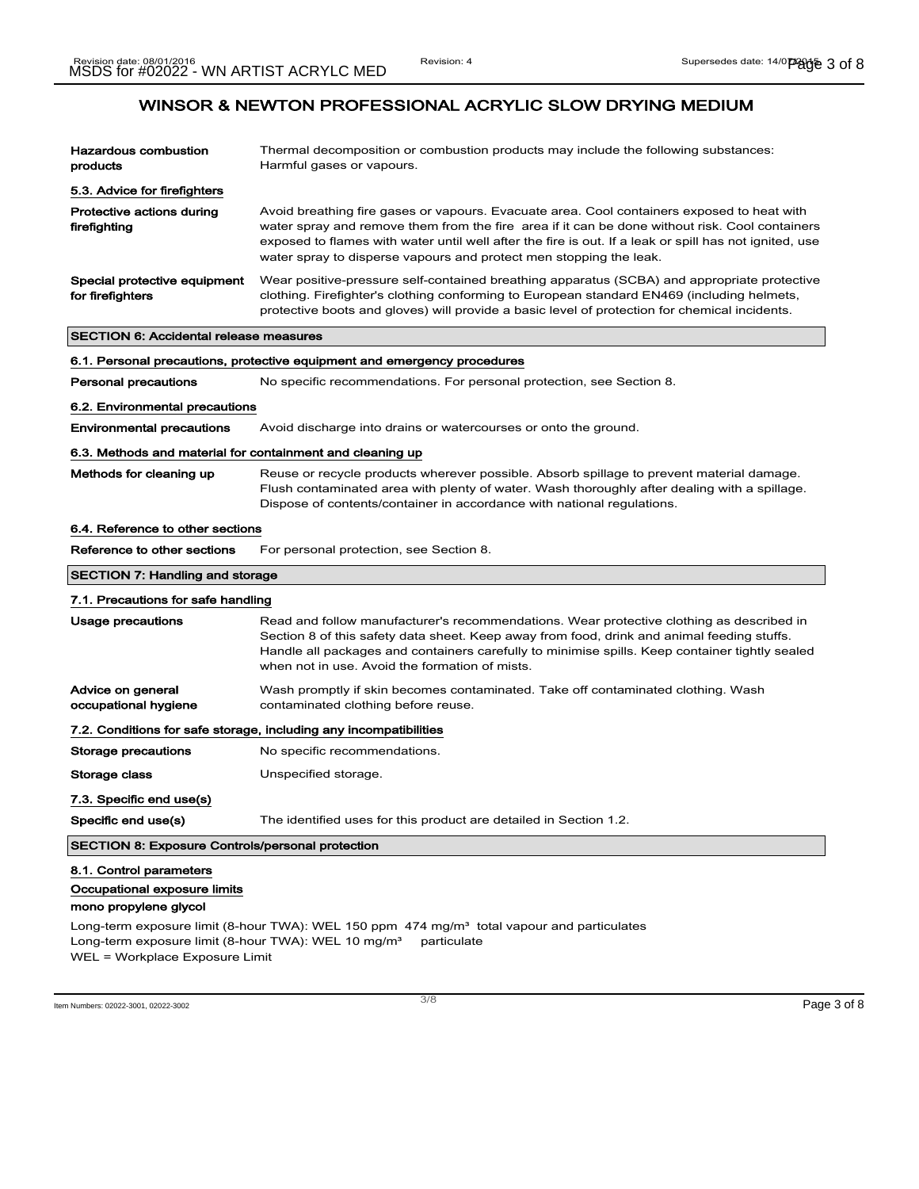| <b>Hazardous combustion</b><br>products                                                                                                             | Thermal decomposition or combustion products may include the following substances:<br>Harmful gases or vapours.                                                                                                                                                                                                                                                              |  |
|-----------------------------------------------------------------------------------------------------------------------------------------------------|------------------------------------------------------------------------------------------------------------------------------------------------------------------------------------------------------------------------------------------------------------------------------------------------------------------------------------------------------------------------------|--|
| 5.3. Advice for firefighters                                                                                                                        |                                                                                                                                                                                                                                                                                                                                                                              |  |
| Protective actions during<br>firefighting                                                                                                           | Avoid breathing fire gases or vapours. Evacuate area. Cool containers exposed to heat with<br>water spray and remove them from the fire area if it can be done without risk. Cool containers<br>exposed to flames with water until well after the fire is out. If a leak or spill has not ignited, use<br>water spray to disperse vapours and protect men stopping the leak. |  |
| Special protective equipment<br>for firefighters                                                                                                    | Wear positive-pressure self-contained breathing apparatus (SCBA) and appropriate protective<br>clothing. Firefighter's clothing conforming to European standard EN469 (including helmets,<br>protective boots and gloves) will provide a basic level of protection for chemical incidents.                                                                                   |  |
| <b>SECTION 6: Accidental release measures</b>                                                                                                       |                                                                                                                                                                                                                                                                                                                                                                              |  |
|                                                                                                                                                     | 6.1. Personal precautions, protective equipment and emergency procedures                                                                                                                                                                                                                                                                                                     |  |
| <b>Personal precautions</b>                                                                                                                         | No specific recommendations. For personal protection, see Section 8.                                                                                                                                                                                                                                                                                                         |  |
| 6.2. Environmental precautions                                                                                                                      |                                                                                                                                                                                                                                                                                                                                                                              |  |
| <b>Environmental precautions</b>                                                                                                                    | Avoid discharge into drains or watercourses or onto the ground.                                                                                                                                                                                                                                                                                                              |  |
| 6.3. Methods and material for containment and cleaning up                                                                                           |                                                                                                                                                                                                                                                                                                                                                                              |  |
| Methods for cleaning up                                                                                                                             | Reuse or recycle products wherever possible. Absorb spillage to prevent material damage.<br>Flush contaminated area with plenty of water. Wash thoroughly after dealing with a spillage.<br>Dispose of contents/container in accordance with national regulations.                                                                                                           |  |
| 6.4. Reference to other sections                                                                                                                    |                                                                                                                                                                                                                                                                                                                                                                              |  |
| Reference to other sections                                                                                                                         | For personal protection, see Section 8.                                                                                                                                                                                                                                                                                                                                      |  |
| <b>SECTION 7: Handling and storage</b>                                                                                                              |                                                                                                                                                                                                                                                                                                                                                                              |  |
| 7.1. Precautions for safe handling                                                                                                                  |                                                                                                                                                                                                                                                                                                                                                                              |  |
| Usage precautions                                                                                                                                   | Read and follow manufacturer's recommendations. Wear protective clothing as described in<br>Section 8 of this safety data sheet. Keep away from food, drink and animal feeding stuffs.<br>Handle all packages and containers carefully to minimise spills. Keep container tightly sealed<br>when not in use. Avoid the formation of mists.                                   |  |
| Advice on general<br>occupational hygiene                                                                                                           | Wash promptly if skin becomes contaminated. Take off contaminated clothing. Wash<br>contaminated clothing before reuse.                                                                                                                                                                                                                                                      |  |
|                                                                                                                                                     | 7.2. Conditions for safe storage, including any incompatibilities                                                                                                                                                                                                                                                                                                            |  |
| <b>Storage precautions</b>                                                                                                                          | No specific recommendations.                                                                                                                                                                                                                                                                                                                                                 |  |
| Storage class                                                                                                                                       | Unspecified storage.                                                                                                                                                                                                                                                                                                                                                         |  |
| 7.3. Specific end use(s)                                                                                                                            |                                                                                                                                                                                                                                                                                                                                                                              |  |
| Specific end use(s)                                                                                                                                 | The identified uses for this product are detailed in Section 1.2.                                                                                                                                                                                                                                                                                                            |  |
| <b>SECTION 8: Exposure Controls/personal protection</b>                                                                                             |                                                                                                                                                                                                                                                                                                                                                                              |  |
| 8.1. Control parameters<br>Occupational exposure limits<br>mono propylene glycol<br>Long-term exposure limit (8-hour TWA): WEL 10 mg/m <sup>3</sup> | Long-term exposure limit (8-hour TWA): WEL 150 ppm 474 mg/m <sup>3</sup> total vapour and particulates<br>particulate                                                                                                                                                                                                                                                        |  |
| WEL = Workplace Exposure Limit                                                                                                                      |                                                                                                                                                                                                                                                                                                                                                                              |  |

Item Numbers: 02022-3001, 02022-3002 Page 3 of 8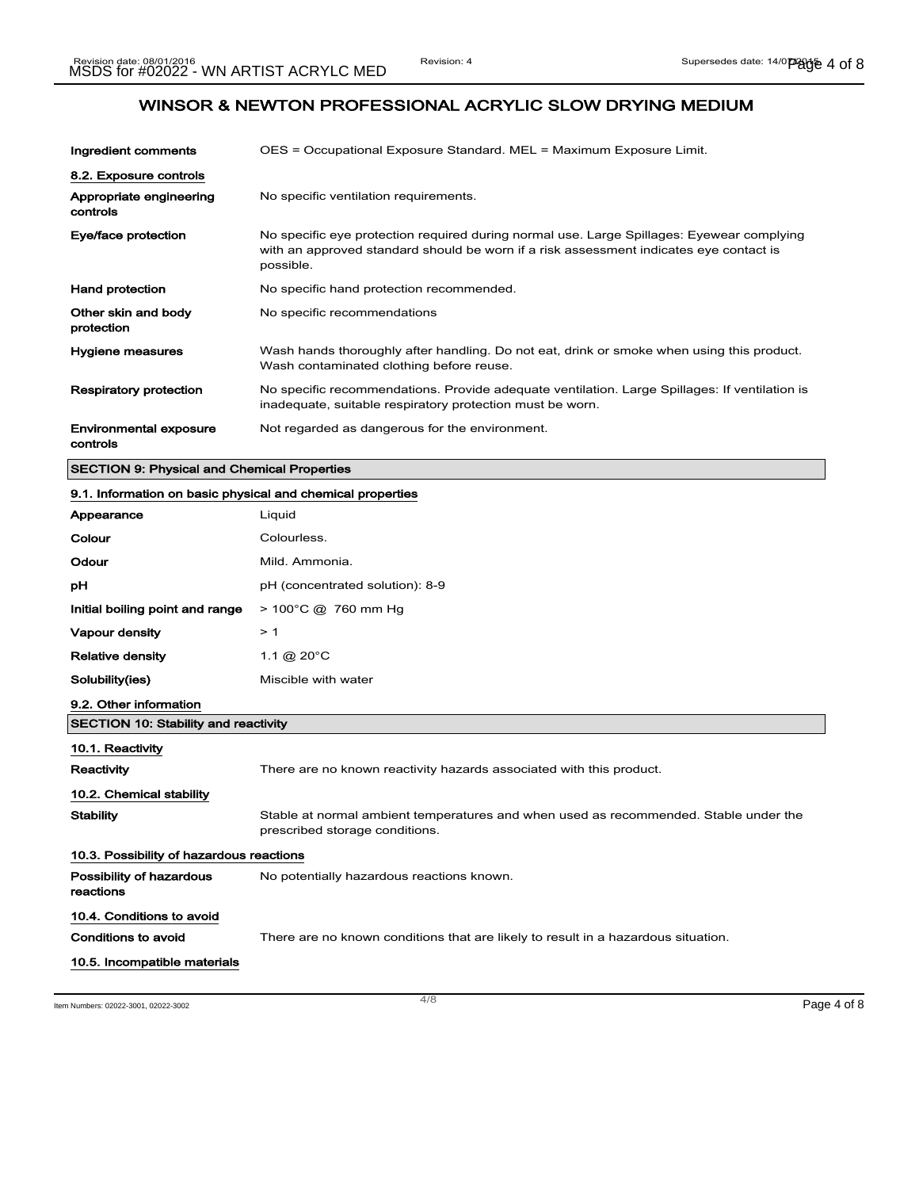| Ingredient comments                                        | OES = Occupational Exposure Standard. MEL = Maximum Exposure Limit.                                                                                                                              |
|------------------------------------------------------------|--------------------------------------------------------------------------------------------------------------------------------------------------------------------------------------------------|
| 8.2. Exposure controls                                     |                                                                                                                                                                                                  |
| Appropriate engineering<br>controls                        | No specific ventilation requirements.                                                                                                                                                            |
| Eye/face protection                                        | No specific eye protection required during normal use. Large Spillages: Eyewear complying<br>with an approved standard should be worn if a risk assessment indicates eye contact is<br>possible. |
| <b>Hand protection</b>                                     | No specific hand protection recommended.                                                                                                                                                         |
| Other skin and body<br>protection                          | No specific recommendations                                                                                                                                                                      |
| <b>Hygiene measures</b>                                    | Wash hands thoroughly after handling. Do not eat, drink or smoke when using this product.<br>Wash contaminated clothing before reuse.                                                            |
| <b>Respiratory protection</b>                              | No specific recommendations. Provide adequate ventilation. Large Spillages: If ventilation is<br>inadequate, suitable respiratory protection must be worn.                                       |
| <b>Environmental exposure</b><br>controls                  | Not regarded as dangerous for the environment.                                                                                                                                                   |
| <b>SECTION 9: Physical and Chemical Properties</b>         |                                                                                                                                                                                                  |
| 9.1. Information on basic physical and chemical properties |                                                                                                                                                                                                  |
| Appearance                                                 | Liguid                                                                                                                                                                                           |
| Colour                                                     | Colourless.                                                                                                                                                                                      |

| Odour                                       | Mild. Ammonia.                                                                                                         |  |  |
|---------------------------------------------|------------------------------------------------------------------------------------------------------------------------|--|--|
| рH                                          | pH (concentrated solution): 8-9                                                                                        |  |  |
| Initial boiling point and range             | $> 100^{\circ}$ C @ 760 mm Hg                                                                                          |  |  |
| Vapour density                              | >1                                                                                                                     |  |  |
| <b>Relative density</b>                     | 1.1 @ $20^{\circ}$ C                                                                                                   |  |  |
| Solubility(ies)                             | Miscible with water                                                                                                    |  |  |
| 9.2. Other information                      |                                                                                                                        |  |  |
| <b>SECTION 10: Stability and reactivity</b> |                                                                                                                        |  |  |
| 10.1. Reactivity                            |                                                                                                                        |  |  |
| <b>Reactivity</b>                           | There are no known reactivity hazards associated with this product.                                                    |  |  |
| 10.2. Chemical stability                    |                                                                                                                        |  |  |
| <b>Stability</b>                            | Stable at normal ambient temperatures and when used as recommended. Stable under the<br>prescribed storage conditions. |  |  |
|                                             | 10.3. Possibility of hazardous reactions                                                                               |  |  |
| Possibility of hazardous<br>reactions       | No potentially hazardous reactions known.                                                                              |  |  |
| 10.4. Conditions to avoid                   |                                                                                                                        |  |  |
| Conditions to avoid                         | There are no known conditions that are likely to result in a hazardous situation.                                      |  |  |
| 10.5. Incompatible materials                |                                                                                                                        |  |  |

Item Numbers: 02022-3001, 02022-3002 Page 4 of 8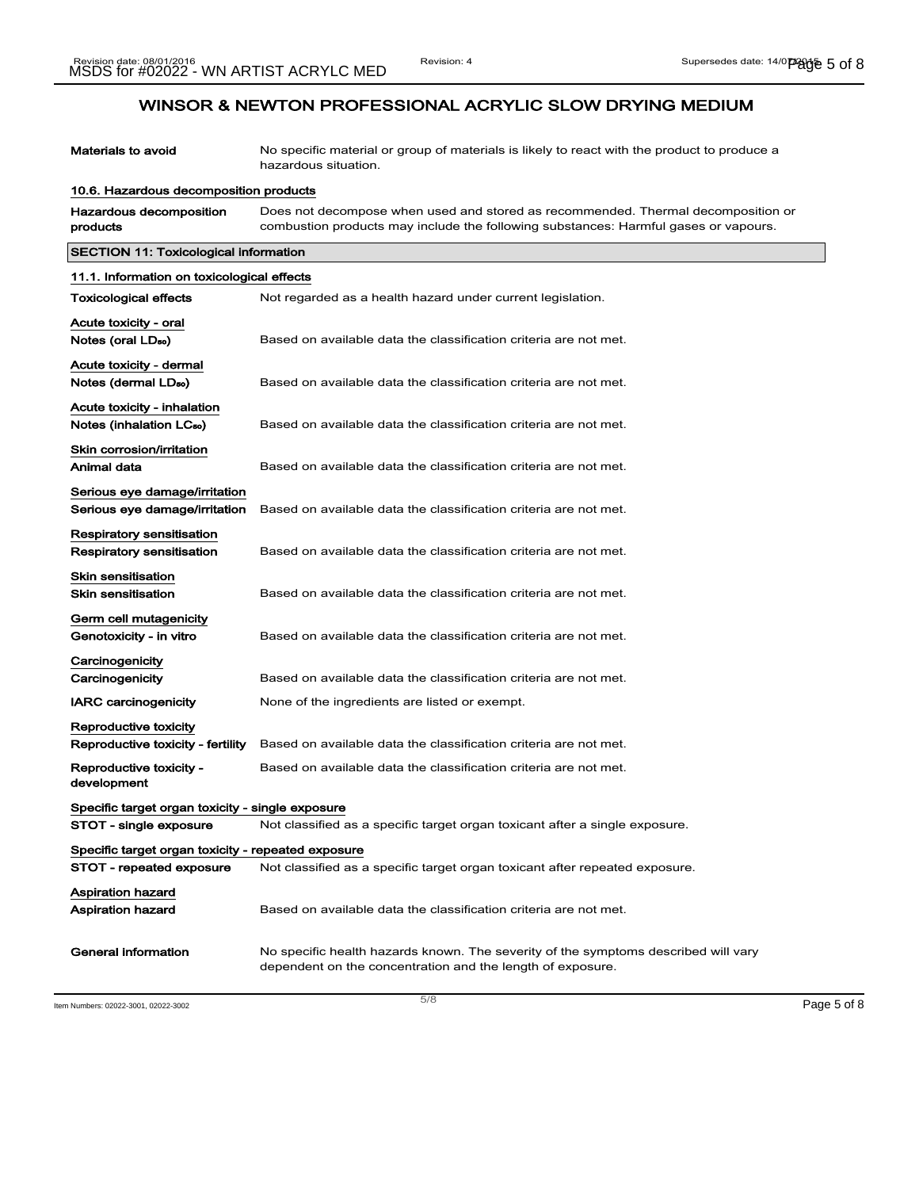| <b>Materials to avoid</b>                                           | No specific material or group of materials is likely to react with the product to produce a<br>hazardous situation.                                                     |
|---------------------------------------------------------------------|-------------------------------------------------------------------------------------------------------------------------------------------------------------------------|
| 10.6. Hazardous decomposition products                              |                                                                                                                                                                         |
| Hazardous decomposition<br>products                                 | Does not decompose when used and stored as recommended. Thermal decomposition or<br>combustion products may include the following substances: Harmful gases or vapours. |
| <b>SECTION 11: Toxicological information</b>                        |                                                                                                                                                                         |
| 11.1. Information on toxicological effects                          |                                                                                                                                                                         |
| <b>Toxicological effects</b>                                        | Not regarded as a health hazard under current legislation.                                                                                                              |
| Acute toxicity - oral<br>Notes (oral LD <sub>50</sub> )             | Based on available data the classification criteria are not met.                                                                                                        |
| Acute toxicity - dermal<br>Notes (dermal LD <sub>50</sub> )         | Based on available data the classification criteria are not met.                                                                                                        |
| Acute toxicity - inhalation<br>Notes (inhalation LC <sub>50</sub> ) | Based on available data the classification criteria are not met.                                                                                                        |
| Skin corrosion/irritation<br>Animal data                            | Based on available data the classification criteria are not met.                                                                                                        |
| Serious eye damage/irritation<br>Serious eye damage/irritation      | Based on available data the classification criteria are not met.                                                                                                        |
| Respiratory sensitisation<br><b>Respiratory sensitisation</b>       | Based on available data the classification criteria are not met.                                                                                                        |
| <b>Skin sensitisation</b><br><b>Skin sensitisation</b>              | Based on available data the classification criteria are not met.                                                                                                        |
| Germ cell mutagenicity<br>Genotoxicity - in vitro                   | Based on available data the classification criteria are not met.                                                                                                        |
| Carcinogenicity<br>Carcinogenicity                                  | Based on available data the classification criteria are not met.                                                                                                        |
| <b>IARC carcinogenicity</b>                                         | None of the ingredients are listed or exempt.                                                                                                                           |
| Reproductive toxicity<br>Reproductive toxicity - fertility          | Based on available data the classification criteria are not met.                                                                                                        |
| Reproductive toxicity -<br>development                              | Based on available data the classification criteria are not met.                                                                                                        |
| Specific target organ toxicity - single exposure                    |                                                                                                                                                                         |
| STOT - single exposure                                              | Not classified as a specific target organ toxicant after a single exposure.                                                                                             |
| Specific target organ toxicity - repeated exposure                  |                                                                                                                                                                         |
| STOT - repeated exposure                                            | Not classified as a specific target organ toxicant after repeated exposure.                                                                                             |
| Aspiration hazard<br>Aspiration hazard                              | Based on available data the classification criteria are not met.                                                                                                        |
| <b>General information</b>                                          | No specific health hazards known. The severity of the symptoms described will vary<br>dependent on the concentration and the length of exposure.                        |

Item Numbers: 02022-3001, 02022-3002 Page 5 of 8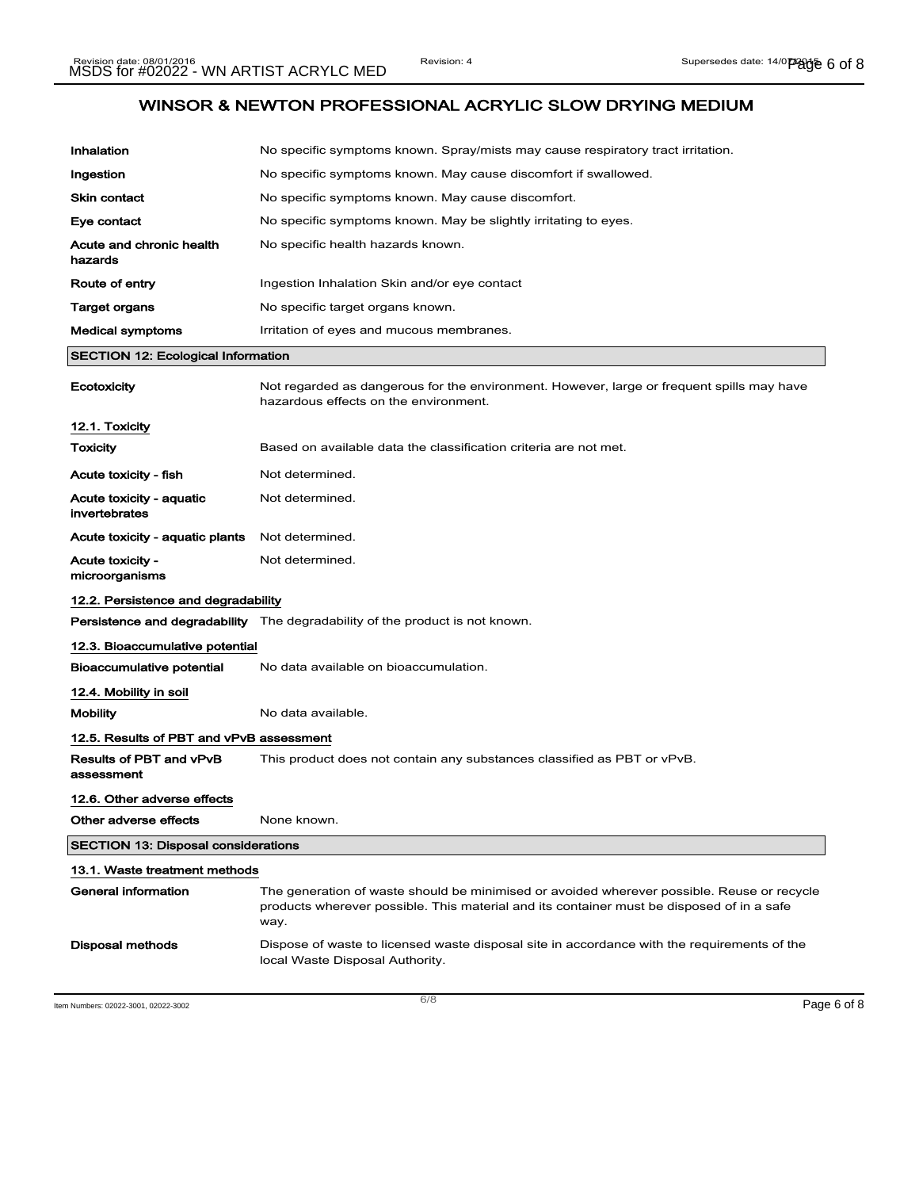| Inhalation                                 | No specific symptoms known. Spray/mists may cause respiratory tract irritation.                                                                                                                 |
|--------------------------------------------|-------------------------------------------------------------------------------------------------------------------------------------------------------------------------------------------------|
| Ingestion                                  | No specific symptoms known. May cause discomfort if swallowed.                                                                                                                                  |
| <b>Skin contact</b>                        | No specific symptoms known. May cause discomfort.                                                                                                                                               |
| Eye contact                                | No specific symptoms known. May be slightly irritating to eyes.                                                                                                                                 |
| Acute and chronic health<br>hazards        | No specific health hazards known.                                                                                                                                                               |
| Route of entry                             | Ingestion Inhalation Skin and/or eye contact                                                                                                                                                    |
| Target organs                              | No specific target organs known.                                                                                                                                                                |
| <b>Medical symptoms</b>                    | Irritation of eyes and mucous membranes.                                                                                                                                                        |
| <b>SECTION 12: Ecological Information</b>  |                                                                                                                                                                                                 |
| Ecotoxicity                                | Not regarded as dangerous for the environment. However, large or frequent spills may have<br>hazardous effects on the environment.                                                              |
| 12.1. Toxicity                             |                                                                                                                                                                                                 |
| <b>Toxicity</b>                            | Based on available data the classification criteria are not met.                                                                                                                                |
| Acute toxicity - fish                      | Not determined.                                                                                                                                                                                 |
| Acute toxicity - aquatic<br>invertebrates  | Not determined.                                                                                                                                                                                 |
| Acute toxicity - aquatic plants            | Not determined.                                                                                                                                                                                 |
| <b>Acute toxicity -</b><br>microorganisms  | Not determined.                                                                                                                                                                                 |
| 12.2. Persistence and degradability        |                                                                                                                                                                                                 |
|                                            | Persistence and degradability The degradability of the product is not known.                                                                                                                    |
| 12.3. Bioaccumulative potential            |                                                                                                                                                                                                 |
| <b>Bioaccumulative potential</b>           | No data available on bioaccumulation.                                                                                                                                                           |
| 12.4. Mobility in soil                     |                                                                                                                                                                                                 |
| <b>Mobility</b>                            | No data available.                                                                                                                                                                              |
| 12.5. Results of PBT and vPvB assessment   |                                                                                                                                                                                                 |
| Results of PBT and vPvB<br>assessment      | This product does not contain any substances classified as PBT or vPvB.                                                                                                                         |
| 12.6. Other adverse effects                |                                                                                                                                                                                                 |
| Other adverse effects                      | None known.                                                                                                                                                                                     |
| <b>SECTION 13: Disposal considerations</b> |                                                                                                                                                                                                 |
| 13.1. Waste treatment methods              |                                                                                                                                                                                                 |
| General information                        | The generation of waste should be minimised or avoided wherever possible. Reuse or recycle<br>products wherever possible. This material and its container must be disposed of in a safe<br>way. |
| <b>Disposal methods</b>                    | Dispose of waste to licensed waste disposal site in accordance with the requirements of the<br>local Waste Disposal Authority.                                                                  |

Item Numbers: 02022-3001, 02022-3002 Page 6 of 8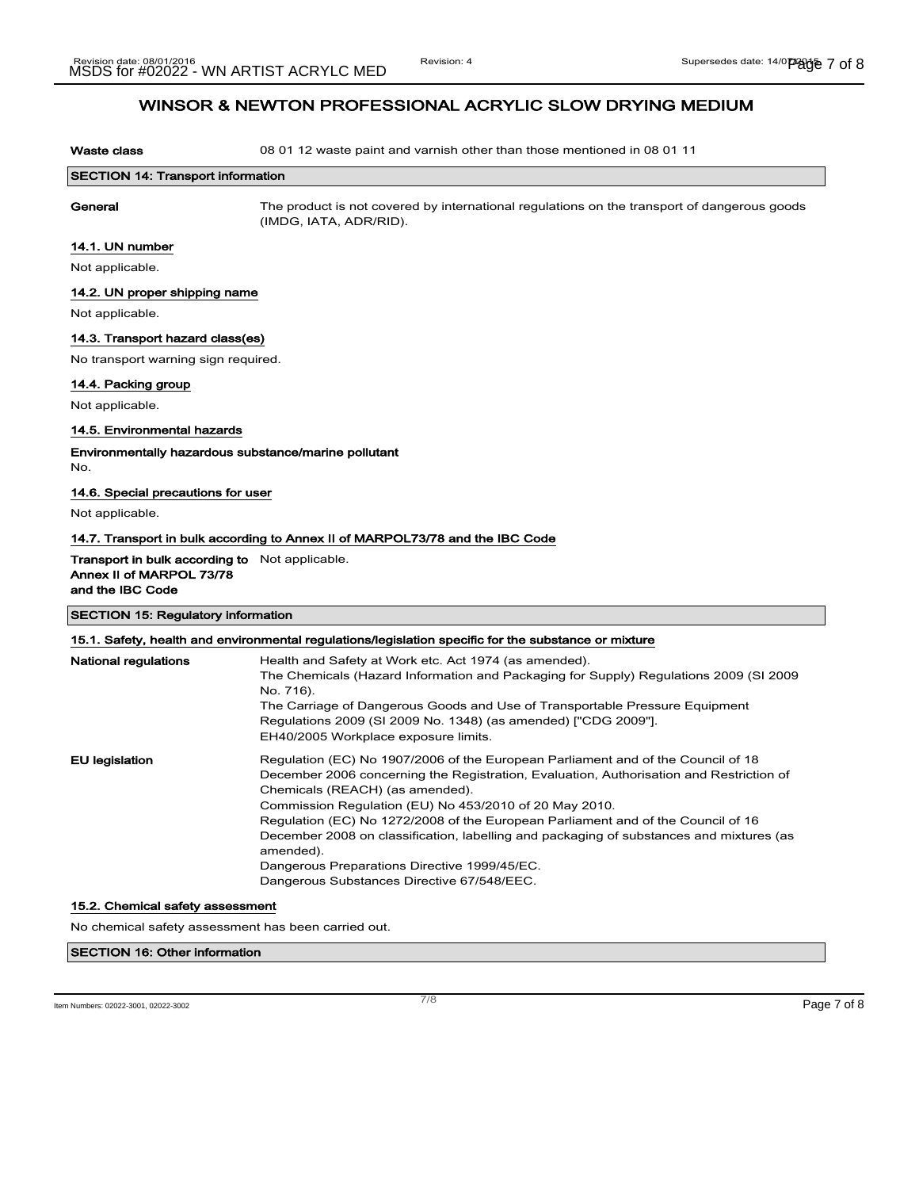Waste class **08 01 12** waste paint and varnish other than those mentioned in 08 01 11

| <b>SECTION 14: Transport information</b> |                                                                                             |
|------------------------------------------|---------------------------------------------------------------------------------------------|
| General                                  | The product is not covered by international regulations on the transport of dangerous goods |
|                                          | (IMDG, IATA, ADR/RID).                                                                      |

#### 14.1. UN number

Not applicable.

#### 14.2. UN proper shipping name

Not applicable.

### 14.3. Transport hazard class(es)

No transport warning sign required.

#### 14.4. Packing group

Not applicable.

#### 14.5. Environmental hazards

Environmentally hazardous substance/marine pollutant No.

### 14.6. Special precautions for user

Not applicable.

#### 14.7. Transport in bulk according to Annex II of MARPOL73/78 and the IBC Code

#### Transport in bulk according to Not applicable. Annex II of MARPOL 73/78

and the IBC Code

#### SECTION 15: Regulatory information

| 15.1. Safety, health and environmental regulations/legislation specific for the substance or mixture |                                                                                                                                                                                                                                                                                                                                                                                                                                                                                                                                                                    |
|------------------------------------------------------------------------------------------------------|--------------------------------------------------------------------------------------------------------------------------------------------------------------------------------------------------------------------------------------------------------------------------------------------------------------------------------------------------------------------------------------------------------------------------------------------------------------------------------------------------------------------------------------------------------------------|
| <b>National regulations</b>                                                                          | Health and Safety at Work etc. Act 1974 (as amended).<br>The Chemicals (Hazard Information and Packaging for Supply) Regulations 2009 (SI 2009<br>No. 716).<br>The Carriage of Dangerous Goods and Use of Transportable Pressure Equipment<br>Regulations 2009 (SI 2009 No. 1348) (as amended) ["CDG 2009"].<br>EH40/2005 Workplace exposure limits.                                                                                                                                                                                                               |
| <b>EU</b> legislation                                                                                | Regulation (EC) No 1907/2006 of the European Parliament and of the Council of 18<br>December 2006 concerning the Registration, Evaluation, Authorisation and Restriction of<br>Chemicals (REACH) (as amended).<br>Commission Regulation (EU) No 453/2010 of 20 May 2010.<br>Regulation (EC) No 1272/2008 of the European Parliament and of the Council of 16<br>December 2008 on classification, labelling and packaging of substances and mixtures (as<br>amended).<br>Dangerous Preparations Directive 1999/45/EC.<br>Dangerous Substances Directive 67/548/EEC. |

#### 15.2. Chemical safety assessment

No chemical safety assessment has been carried out.

### SECTION 16: Other information